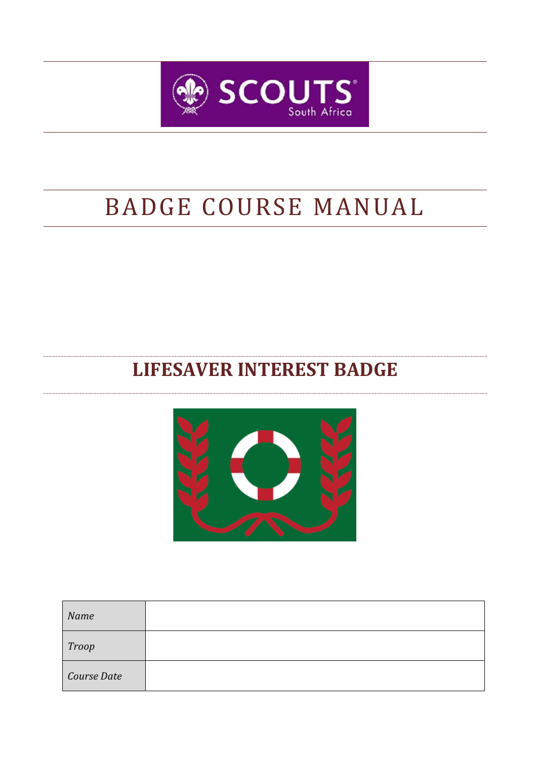

# BADGE COURSE MANUAL

# **LIFESAVER INTEREST BADGE**



| Name         |  |
|--------------|--|
| <b>Troop</b> |  |
| Course Date  |  |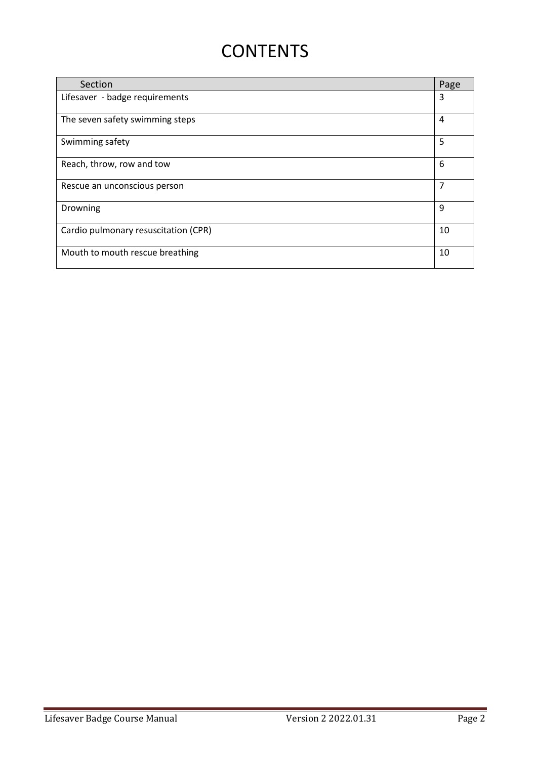# **CONTENTS**

| Section                              | Page |
|--------------------------------------|------|
| Lifesaver - badge requirements       |      |
| The seven safety swimming steps      |      |
| Swimming safety                      | 5    |
| Reach, throw, row and tow            | 6    |
| Rescue an unconscious person         |      |
| Drowning                             | 9    |
| Cardio pulmonary resuscitation (CPR) |      |
| Mouth to mouth rescue breathing      |      |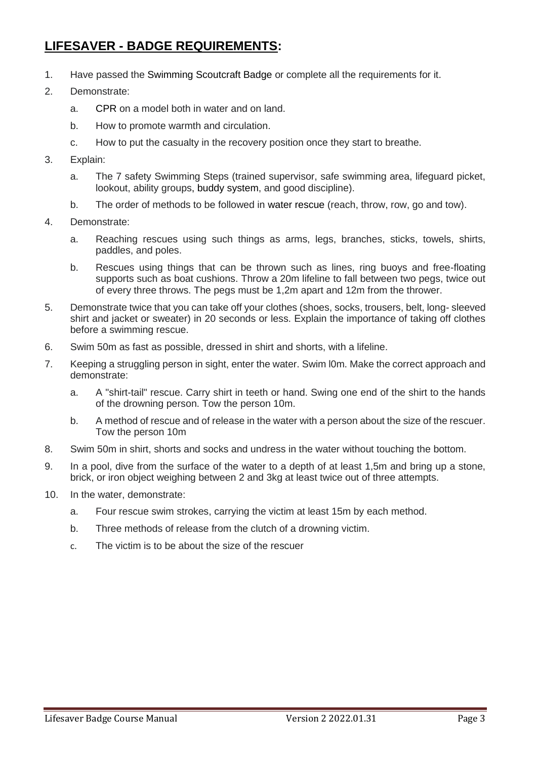# **LIFESAVER - BADGE REQUIREMENTS:**

- 1. Have passed the [Swimming Scoutcraft Badge](https://scoutwiki.scouts.org.za/wiki/Swimming_Scoutcraft_Badge) or complete all the requirements for it.
- 2. Demonstrate:
	- a. [CPR](https://scoutwiki.scouts.org.za/wiki/CPR) on a model both in water and on land.
	- b. How to promote warmth and circulation.
	- c. How to put the casualty in the recovery position once they start to breathe.
- 3. Explain:
	- a. The 7 safety Swimming Steps (trained supervisor, safe swimming area, lifeguard picket, lookout, ability groups, [buddy system,](https://scoutwiki.scouts.org.za/wiki/Buddy_system) and good discipline).
	- b. The order of methods to be followed in [water rescue](https://scoutwiki.scouts.org.za/wiki/Water_rescue) (reach, throw, row, go and tow).
- 4. Demonstrate:
	- a. Reaching rescues using such things as arms, legs, branches, sticks, towels, shirts, paddles, and poles.
	- b. Rescues using things that can be thrown such as lines, ring buoys and free-floating supports such as boat cushions. Throw a 20m lifeline to fall between two pegs, twice out of every three throws. The pegs must be 1,2m apart and 12m from the thrower.
- 5. Demonstrate twice that you can take off your clothes (shoes, socks, trousers, belt, long- sleeved shirt and jacket or sweater) in 20 seconds or less. Explain the importance of taking off clothes before a swimming rescue.
- 6. Swim 50m as fast as possible, dressed in shirt and shorts, with a lifeline.
- 7. Keeping a struggling person in sight, enter the water. Swim l0m. Make the correct approach and demonstrate:
	- a. A "shirt-tail" rescue. Carry shirt in teeth or hand. Swing one end of the shirt to the hands of the drowning person. Tow the person 10m.
	- b. A method of rescue and of release in the water with a person about the size of the rescuer. Tow the person 10m
- 8. Swim 50m in shirt, shorts and socks and undress in the water without touching the bottom.
- 9. In a pool, dive from the surface of the water to a depth of at least 1,5m and bring up a stone, brick, or iron object weighing between 2 and 3kg at least twice out of three attempts.
- 10. In the water, demonstrate:
	- a. Four rescue swim strokes, carrying the victim at least 15m by each method.
	- b. Three methods of release from the clutch of a drowning victim.
	- c. The victim is to be about the size of the rescuer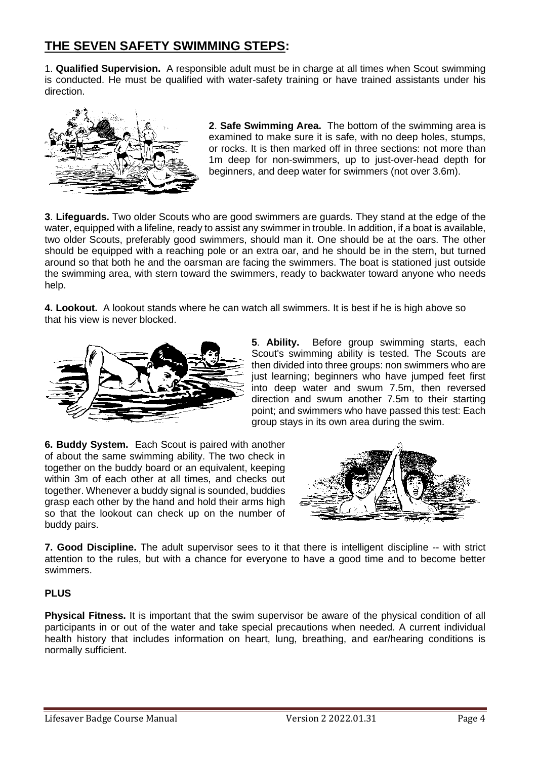# **THE SEVEN SAFETY SWIMMING STEPS:**

1. **Qualified Supervision.** A responsible adult must be in charge at all times when Scout swimming is conducted. He must be qualified with water-safety training or have trained assistants under his direction.



**2**. **Safe Swimming Area.** The bottom of the swimming area is examined to make sure it is safe, with no deep holes, stumps, or rocks. It is then marked off in three sections: not more than 1m deep for non-swimmers, up to just-over-head depth for beginners, and deep water for swimmers (not over 3.6m).

**3**. **Lifeguards.** Two older Scouts who are good swimmers are guards. They stand at the edge of the water, equipped with a lifeline, ready to assist any swimmer in trouble. In addition, if a boat is available, two older Scouts, preferably good swimmers, should man it. One should be at the oars. The other should be equipped with a reaching pole or an extra oar, and he should be in the stern, but turned around so that both he and the oarsman are facing the swimmers. The boat is stationed just outside the swimming area, with stern toward the swimmers, ready to backwater toward anyone who needs help.

**4. Lookout.** A lookout stands where he can watch all swimmers. It is best if he is high above so that his view is never blocked.



**5**. **Ability.** Before group swimming starts, each Scout's swimming ability is tested. The Scouts are then divided into three groups: non swimmers who are just learning; beginners who have jumped feet first into deep water and swum 7.5m, then reversed direction and swum another 7.5m to their starting point; and swimmers who have passed this test: Each group stays in its own area during the swim.

**6. Buddy System.** Each Scout is paired with another of about the same swimming ability. The two check in together on the buddy board or an equivalent, keeping within 3m of each other at all times, and checks out together. Whenever a buddy signal is sounded, buddies grasp each other by the hand and hold their arms high so that the lookout can check up on the number of buddy pairs.



**7. Good Discipline.** The adult supervisor sees to it that there is intelligent discipline -- with strict attention to the rules, but with a chance for everyone to have a good time and to become better swimmers.

#### **PLUS**

**Physical Fitness.** It is important that the swim supervisor be aware of the physical condition of all participants in or out of the water and take special precautions when needed. A current individual health history that includes information on heart, lung, breathing, and ear/hearing conditions is normally sufficient.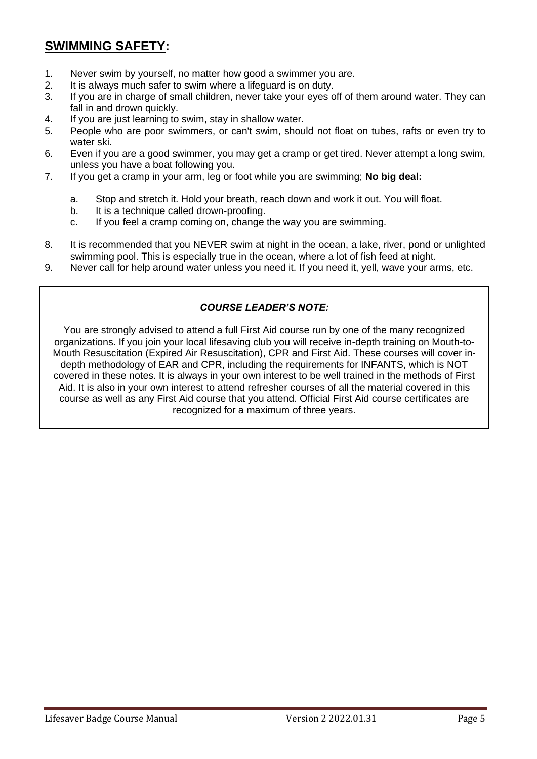### **SWIMMING SAFETY:**

- 1. Never swim by yourself, no matter how good a swimmer you are.<br>2. It is always much safer to swim where a lifequard is on duty.
- It is always much safer to swim where a lifeguard is on duty.
- 3. If you are in charge of small children, never take your eyes off of them around water. They can fall in and drown quickly.
- 4. If you are just learning to swim, stay in shallow water.
- 5. People who are poor swimmers, or can't swim, should not float on tubes, rafts or even try to water ski.
- 6. Even if you are a good swimmer, you may get a cramp or get tired. Never attempt a long swim, unless you have a boat following you.
- 7. If you get a cramp in your arm, leg or foot while you are swimming; **No big deal:**
	- a. Stop and stretch it. Hold your breath, reach down and work it out. You will float.
	- b. It is a technique called drown-proofing.
	- c. If you feel a cramp coming on, change the way you are swimming.
- 8. It is recommended that you NEVER swim at night in the ocean, a lake, river, pond or unlighted swimming pool. This is especially true in the ocean, where a lot of fish feed at night.
- 9. Never call for help around water unless you need it. If you need it, yell, wave your arms, etc.

#### *COURSE LEADER'S NOTE:*

You are strongly advised to attend a full First Aid course run by one of the many recognized organizations. If you join your local lifesaving club you will receive in-depth training on Mouth-to-Mouth Resuscitation (Expired Air Resuscitation), CPR and First Aid. These courses will cover indepth methodology of EAR and CPR, including the requirements for INFANTS, which is NOT covered in these notes. It is always in your own interest to be well trained in the methods of First Aid. It is also in your own interest to attend refresher courses of all the material covered in this course as well as any First Aid course that you attend. Official First Aid course certificates are recognized for a maximum of three years.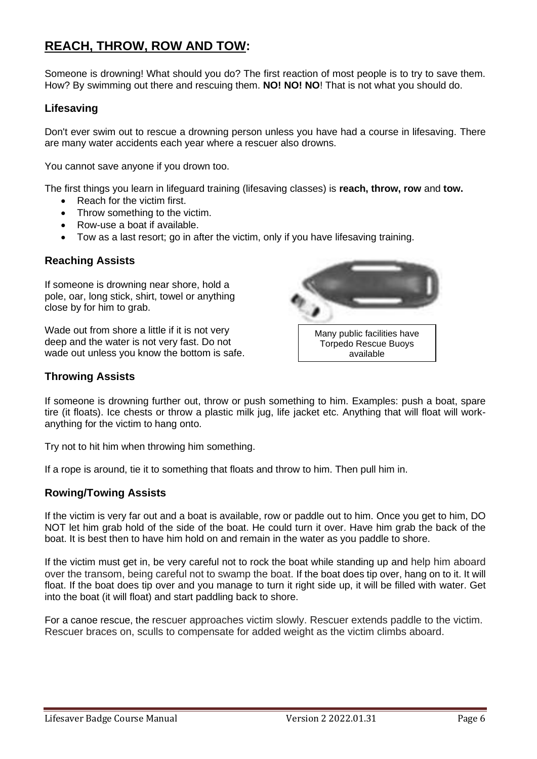## **REACH, THROW, ROW AND TOW:**

Someone is drowning! What should you do? The first reaction of most people is to try to save them. How? By swimming out there and rescuing them. **NO! NO! NO**! That is not what you should do.

#### **Lifesaving**

Don't ever swim out to rescue a drowning person unless you have had a course in lifesaving. There are many water accidents each year where a rescuer also drowns.

You cannot save anyone if you drown too.

The first things you learn in lifeguard training (lifesaving classes) is **reach, throw, row** and **tow.**

- Reach for the victim first.
- Throw something to the victim.
- Row-use a boat if available.
- Tow as a last resort; go in after the victim, only if you have lifesaving training.

#### **Reaching Assists**

If someone is drowning near shore, hold a pole, oar, long stick, shirt, towel or anything close by for him to grab.

Wade out from shore a little if it is not very deep and the water is not very fast. Do not wade out unless you know the bottom is safe.



Many public facilities have Torpedo Rescue Buoys available

for emergency rescue

If someone is drowning further out, throw or push something to him. Examples: push a boat, spare tire (it floats). Ice chests or throw a plastic milk jug, life jacket etc. Anything that will float will workanything for the victim to hang onto.

Try not to hit him when throwing him something.

If a rope is around, tie it to something that floats and throw to him. Then pull him in.

#### **Rowing/Towing Assists**

If the victim is very far out and a boat is available, row or paddle out to him. Once you get to him, DO NOT let him grab hold of the side of the boat. He could turn it over. Have him grab the back of the boat. It is best then to have him hold on and remain in the water as you paddle to shore.

If the victim must get in, be very careful not to rock the boat while standing up and help him aboard over the transom, being careful not to swamp the boat. If the boat does tip over, hang on to it. It will float. If the boat does tip over and you manage to turn it right side up, it will be filled with water. Get into the boat (it will float) and start paddling back to shore.

For a canoe rescue, the rescuer approaches victim slowly. Rescuer extends paddle to the victim. Rescuer braces on, sculls to compensate for added weight as the victim climbs aboard.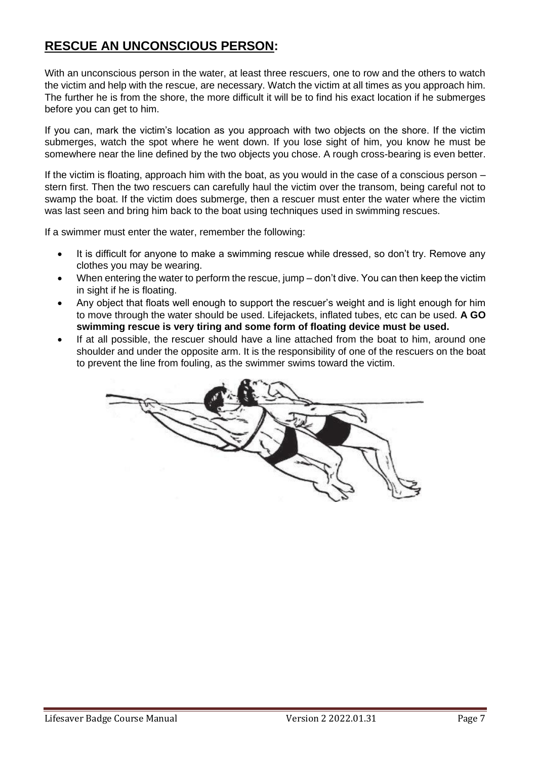# **RESCUE AN UNCONSCIOUS PERSON:**

With an unconscious person in the water, at least three rescuers, one to row and the others to watch the victim and help with the rescue, are necessary. Watch the victim at all times as you approach him. The further he is from the shore, the more difficult it will be to find his exact location if he submerges before you can get to him.

If you can, mark the victim's location as you approach with two objects on the shore. If the victim submerges, watch the spot where he went down. If you lose sight of him, you know he must be somewhere near the line defined by the two objects you chose. A rough cross-bearing is even better.

If the victim is floating, approach him with the boat, as you would in the case of a conscious person – stern first. Then the two rescuers can carefully haul the victim over the transom, being careful not to swamp the boat. If the victim does submerge, then a rescuer must enter the water where the victim was last seen and bring him back to the boat using techniques used in swimming rescues.

If a swimmer must enter the water, remember the following:

- It is difficult for anyone to make a swimming rescue while dressed, so don't try. Remove any clothes you may be wearing.
- When entering the water to perform the rescue, jump don't dive. You can then keep the victim in sight if he is floating.
- Any object that floats well enough to support the rescuer's weight and is light enough for him to move through the water should be used. Lifejackets, inflated tubes, etc can be used. **A GO swimming rescue is very tiring and some form of floating device must be used.**
- If at all possible, the rescuer should have a line attached from the boat to him, around one shoulder and under the opposite arm. It is the responsibility of one of the rescuers on the boat to prevent the line from fouling, as the swimmer swims toward the victim.

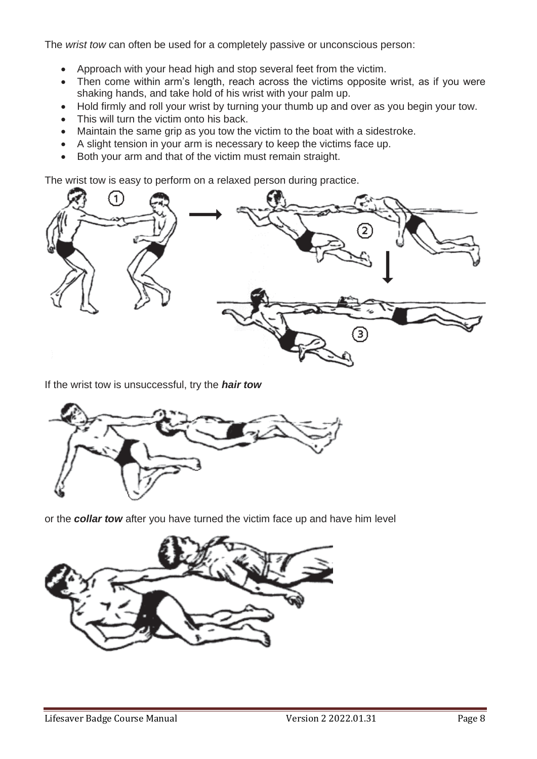The *wrist tow* can often be used for a completely passive or unconscious person:

- Approach with your head high and stop several feet from the victim.
- Then come within arm's length, reach across the victims opposite wrist, as if you were shaking hands, and take hold of his wrist with your palm up.
- Hold firmly and roll your wrist by turning your thumb up and over as you begin your tow.
- This will turn the victim onto his back.
- Maintain the same grip as you tow the victim to the boat with a sidestroke.
- A slight tension in your arm is necessary to keep the victims face up.
- Both your arm and that of the victim must remain straight.

The wrist tow is easy to perform on a relaxed person during practice.



If the wrist tow is unsuccessful, try the *hair tow*



or the *collar tow* after you have turned the victim face up and have him level

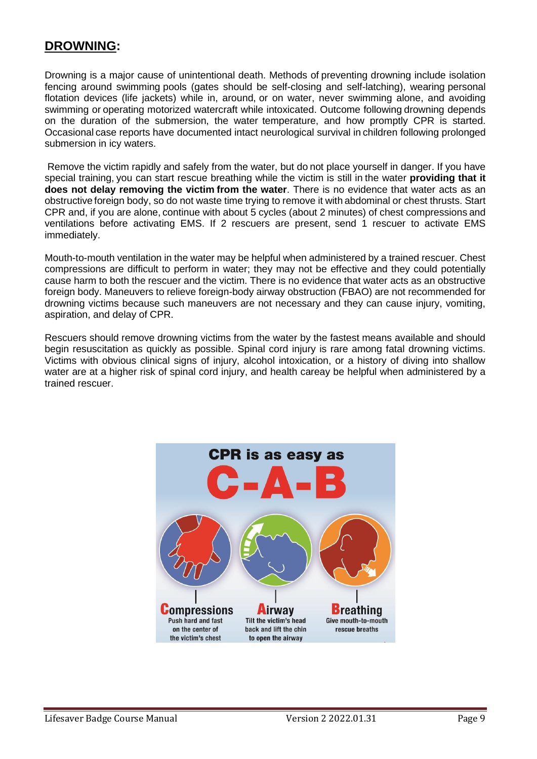#### **DROWNING:**

Drowning is a major cause of unintentional death. Methods of preventing drowning include isolation fencing around swimming pools (gates should be self-closing and self-latching), wearing personal flotation devices (life jackets) while in, around, or on water, never swimming alone, and avoiding swimming or operating motorized watercraft while intoxicated. Outcome following drowning depends on the duration of the submersion, the water temperature, and how promptly CPR is started. Occasional case reports have documented intact neurological survival in children following prolonged submersion in icy waters.

Remove the victim rapidly and safely from the water, but do not place yourself in danger. If you have special training, you can start rescue breathing while the victim is still in the water **providing that it does not delay removing the victim from the water**. There is no evidence that water acts as an obstructive foreign body, so do not waste time trying to remove it with abdominal or chest thrusts. Start CPR and, if you are alone, continue with about 5 cycles (about 2 minutes) of chest compressions and ventilations before activating EMS. If 2 rescuers are present, send 1 rescuer to activate EMS immediately.

Mouth-to-mouth ventilation in the water may be helpful when administered by a trained rescuer. Chest compressions are difficult to perform in water; they may not be effective and they could potentially cause harm to both the rescuer and the victim. There is no evidence that water acts as an obstructive foreign body. Maneuvers to relieve foreign-body airway obstruction (FBAO) are not recommended for drowning victims because such maneuvers are not necessary and they can cause injury, vomiting, aspiration, and delay of CPR.

Rescuers should remove drowning victims from the water by the fastest means available and should begin resuscitation as quickly as possible. Spinal cord injury is rare among fatal drowning victims. Victims with obvious clinical signs of injury, alcohol intoxication, or a history of diving into shallow water are at a higher risk of spinal cord injury, and health careay be helpful when administered by a trained rescuer.